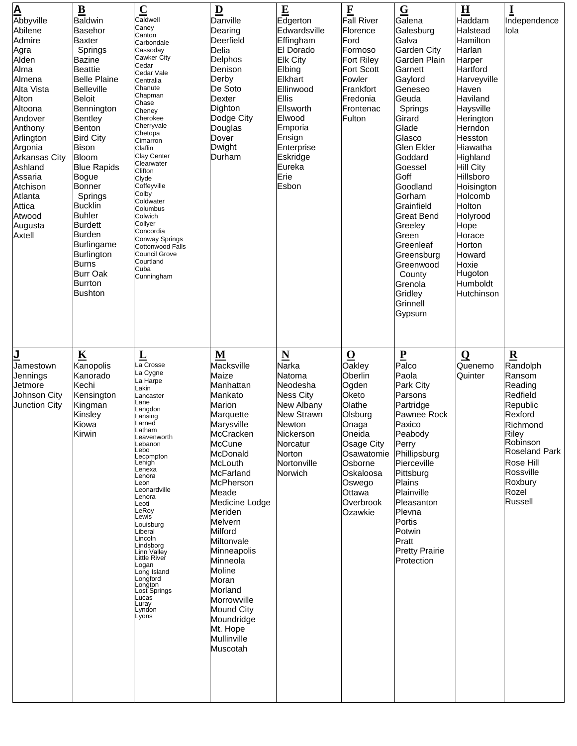|                                      | $\underline{\mathbf{B}}$         | $\overline{\mathbf{C}}$                   | $\overline{\mathbf{D}}$ | $\mathbf E$                    | $\mathbf F$                     | $\overline{G}$                  | $\overline{\mathbf{H}}$    | $\bf{I}$                                     |
|--------------------------------------|----------------------------------|-------------------------------------------|-------------------------|--------------------------------|---------------------------------|---------------------------------|----------------------------|----------------------------------------------|
| A<br>Abbyville                       | <b>Baldwin</b>                   | Caldwell                                  | Danville                | Edgerton                       | <b>Fall River</b>               | Galena                          | Haddam                     | Independence                                 |
| Abilene                              | <b>Basehor</b>                   | Caney<br>Canton                           | Dearing                 | Edwardsville                   | Florence                        | Galesburg                       | Halstead                   | lola                                         |
| Admire                               | <b>Baxter</b>                    | Carbondale                                | Deerfield               | Effingham                      | Ford                            | Galva                           | Hamilton                   |                                              |
| Agra                                 | Springs                          | Cassoday<br>Cawker City                   | Delia                   | El Dorado                      | Formoso                         | <b>Garden City</b>              | Harlan                     |                                              |
| Alden<br>Alma                        | <b>Bazine</b><br><b>Beattie</b>  | Cedar                                     | Delphos<br>Denison      | <b>Elk City</b><br>Elbing      | Fort Riley<br><b>Fort Scott</b> | Garden Plain<br>Garnett         | Harper<br>Hartford         |                                              |
| Almena                               | <b>Belle Plaine</b>              | Cedar Vale<br>Centralia                   | Derby                   | Elkhart                        | Fowler                          | Gaylord                         | Harveyville                |                                              |
| Alta Vista                           | <b>Belleville</b>                | Chanute                                   | De Soto                 | Ellinwood                      | Frankfort                       | Geneseo                         | Haven                      |                                              |
| Alton                                | <b>Beloit</b>                    | Chapman<br>Chase                          | <b>Dexter</b>           | Ellis                          | Fredonia                        | Geuda                           | Haviland                   |                                              |
| Altoona                              | Bennington                       | Cheney                                    | Dighton                 | Ellsworth                      | Frontenac                       | Springs                         | Haysville                  |                                              |
| Andover                              | <b>Bentley</b>                   | Cherokee                                  | Dodge City              | Elwood                         | Fulton                          | Girard                          | Herington                  |                                              |
| Anthony                              | Benton                           | Cherryvale<br>Chetopa                     | Douglas                 | Emporia                        |                                 | Glade                           | Herndon                    |                                              |
| Arlington<br>Argonia                 | <b>Bird City</b><br><b>Bison</b> | Cimarron                                  | Dover<br>Dwight         | Ensign<br>Enterprise           |                                 | Glasco<br>Glen Elder            | Hesston<br>Hiawatha        |                                              |
| <b>Arkansas City</b>                 | Bloom                            | Claflin<br><b>Clay Center</b>             | Durham                  | Eskridge                       |                                 | Goddard                         | Highland                   |                                              |
| Ashland                              | <b>Blue Rapids</b>               | Clearwater                                |                         | Eureka                         |                                 | Goessel                         | <b>Hill City</b>           |                                              |
| Assaria                              | <b>Bogue</b>                     | Clifton<br>Clyde                          |                         | Erie                           |                                 | Goff                            | Hillsboro                  |                                              |
| Atchison                             | Bonner                           | Coffeyville                               |                         | Esbon                          |                                 | Goodland                        | Hoisington                 |                                              |
| Atlanta                              | Springs                          | Colby<br>Coldwater                        |                         |                                |                                 | Gorham                          | Holcomb                    |                                              |
| Attica<br>Atwood                     | <b>Bucklin</b><br><b>Buhler</b>  | Columbus<br>Colwich                       |                         |                                |                                 | Grainfield<br><b>Great Bend</b> | Holton<br>Holyrood         |                                              |
| Augusta                              | <b>Burdett</b>                   | Collyer                                   |                         |                                |                                 | Greeley                         | Hope                       |                                              |
| Axtell                               | <b>Burden</b>                    | Concordia                                 |                         |                                |                                 | Green                           | Horace                     |                                              |
|                                      | Burlingame                       | Conway Springs<br><b>Cottonwood Falls</b> |                         |                                |                                 | Greenleaf                       | Horton                     |                                              |
|                                      | Burlington                       | <b>Council Grove</b>                      |                         |                                |                                 | Greensburg                      | Howard                     |                                              |
|                                      | <b>Burns</b>                     | Courtland<br>Cuba                         |                         |                                |                                 | Greenwood                       | Hoxie                      |                                              |
|                                      | <b>Burr Oak</b><br>Burrton       | Cunningham                                |                         |                                |                                 | County                          | Hugoton<br><b>Humboldt</b> |                                              |
|                                      | <b>Bushton</b>                   |                                           |                         |                                |                                 | Grenola<br>Gridley              | Hutchinson                 |                                              |
|                                      |                                  |                                           |                         |                                |                                 | Grinnell                        |                            |                                              |
|                                      |                                  |                                           |                         |                                |                                 | Gypsum                          |                            |                                              |
|                                      |                                  |                                           |                         |                                |                                 |                                 |                            |                                              |
|                                      |                                  |                                           |                         |                                |                                 |                                 |                            |                                              |
|                                      |                                  |                                           |                         |                                |                                 |                                 |                            |                                              |
| <u>J</u>                             | $\underline{\mathbf{K}}$         | $\underline{\mathbf{L}}$ a Crosse         | M                       | $\underline{\mathbf{N}}$       | $\overline{\mathbf{O}}$         | $\underline{\mathbf{P}}$        | $\Omega$                   | $\mathbf R$                                  |
|                                      |                                  |                                           |                         |                                |                                 |                                 |                            |                                              |
| Jamestown                            | Kanopolis                        |                                           | Macksville              | Narka                          | Oakley                          | Palco                           | Quenemo                    | Randolph                                     |
| Jennings                             | Kanorado                         | La Cygne<br>a Harpe                       | Maize                   | Natoma                         | Oberlin                         | Paola                           | Quinter                    | Ransom                                       |
| Jetmore                              | Kechi                            | Lakin                                     | Manhattan<br>Mankato    | Neodesha                       | Ogden                           | Park City                       |                            | Reading                                      |
| Johnson City<br><b>Junction City</b> | Kensington<br>Kingman            | _ancaster<br>_ane                         | Marion                  | <b>Ness City</b><br>New Albany | Oketo<br>Olathe                 | Parsons<br>Partridge            |                            | Redfield<br>Republic                         |
|                                      | Kinsley                          | _angdon<br>Lansing                        | Marquette               | <b>New Strawn</b>              | Olsburg                         | Pawnee Rock                     |                            | Rexford                                      |
|                                      | Kiowa                            | Larned                                    | Marysville              | <b>Newton</b>                  | Onaga                           | Paxico                          |                            | Richmond                                     |
|                                      | Kirwin                           | Latham<br>_eavenworth                     | McCracken               | Nickerson                      | Oneida                          | Peabody                         |                            | Riley                                        |
|                                      |                                  | _ebanon<br>Lebo                           | <b>McCune</b>           | Norcatur                       | Osage City                      | Perry                           |                            | Robinson                                     |
|                                      |                                  | Lecompton                                 | McDonald                | Norton                         | Osawatomie                      | Phillipsburg                    |                            |                                              |
|                                      |                                  | Lehigh <sup>'</sup><br>Lenexa             | <b>McLouth</b>          | Nortonville                    | Osborne                         | Pierceville                     |                            | Rose Hill                                    |
|                                      |                                  | Lenora<br>Leon                            | McFarland               | Norwich                        | Oskaloosa                       | Pittsburg                       |                            | <b>Roseland Park</b><br>Rossville<br>Roxbury |
|                                      |                                  | Leonardville                              | McPherson<br>Meade      |                                | Oswego<br>Ottawa                | Plains<br>Plainville            |                            | Rozel                                        |
|                                      |                                  | Lenora<br>Leoti                           | Medicine Lodge          |                                | Overbrook                       | Pleasanton                      |                            | Russell                                      |
|                                      |                                  | LeRoy<br>Lewis                            | Meriden                 |                                | Ozawkie                         | Plevna                          |                            |                                              |
|                                      |                                  | Louisburg                                 | Melvern                 |                                |                                 | Portis                          |                            |                                              |
|                                      |                                  | Liberal<br>Lincoln                        | Milford                 |                                |                                 | Potwin                          |                            |                                              |
|                                      |                                  | Lindsborg                                 | Miltonvale              |                                |                                 | Pratt                           |                            |                                              |
|                                      |                                  | Linn Valley<br>Little River               | Minneapolis             |                                |                                 | <b>Pretty Prairie</b>           |                            |                                              |
|                                      |                                  | Logan<br>Long Island                      | Minneola<br>Moline      |                                |                                 | Protection                      |                            |                                              |
|                                      |                                  | Longford                                  | Moran                   |                                |                                 |                                 |                            |                                              |
|                                      |                                  | _ongton<br>Lost ̇̃Springs                 | Morland                 |                                |                                 |                                 |                            |                                              |
|                                      |                                  | _ucas                                     | Morrowville             |                                |                                 |                                 |                            |                                              |
|                                      |                                  | Luray<br>Lyndon<br>Lyons                  | <b>Mound City</b>       |                                |                                 |                                 |                            |                                              |
|                                      |                                  |                                           | Moundridge              |                                |                                 |                                 |                            |                                              |
|                                      |                                  |                                           | Mt. Hope                |                                |                                 |                                 |                            |                                              |
|                                      |                                  |                                           | Mullinville<br>Muscotah |                                |                                 |                                 |                            |                                              |
|                                      |                                  |                                           |                         |                                |                                 |                                 |                            |                                              |
|                                      |                                  |                                           |                         |                                |                                 |                                 |                            |                                              |
|                                      |                                  |                                           |                         |                                |                                 |                                 |                            |                                              |
|                                      |                                  |                                           |                         |                                |                                 |                                 |                            |                                              |